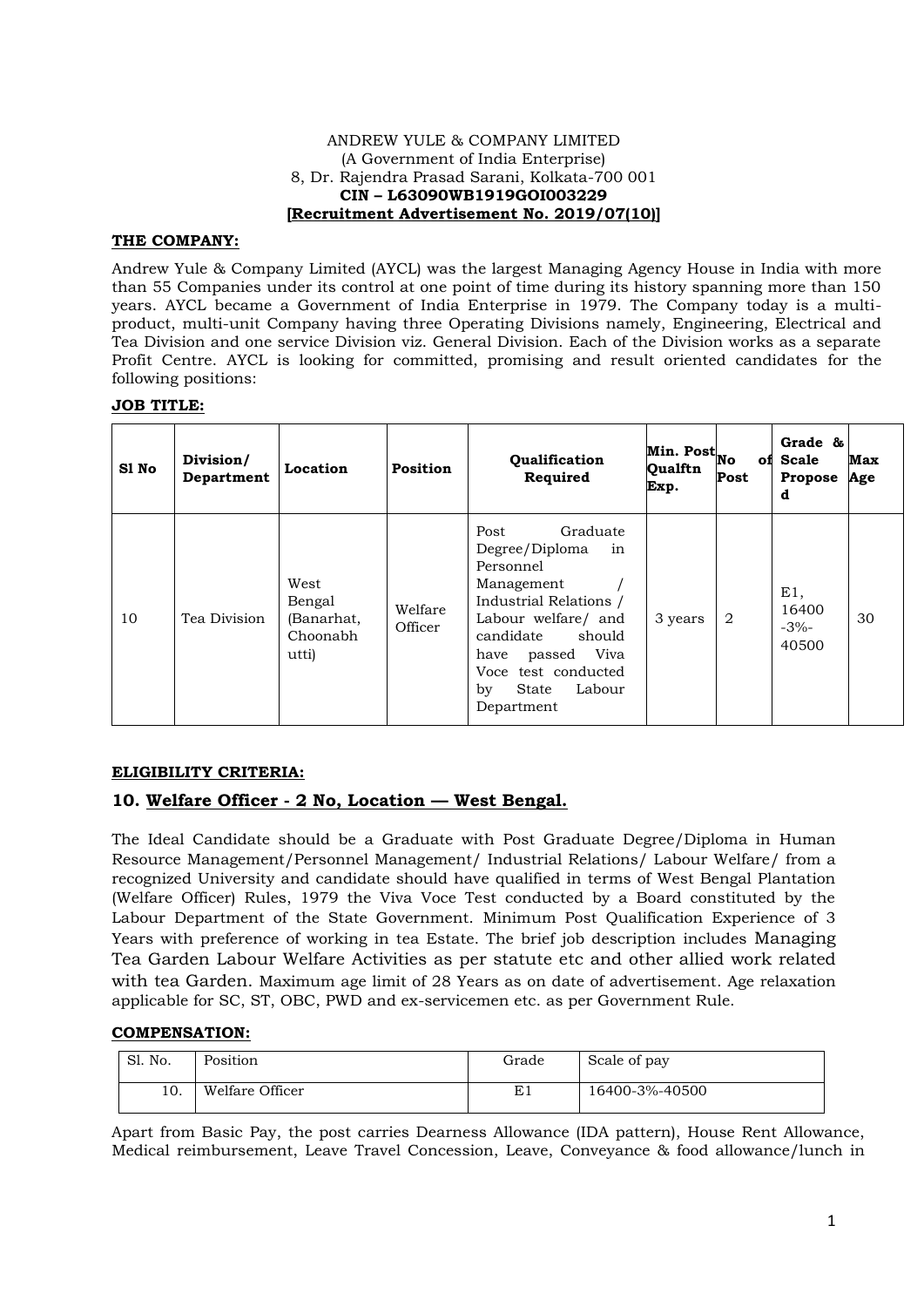#### ANDREW YULE & COMPANY LIMITED (A Government of India Enterprise) 8, Dr. Rajendra Prasad Sarani, Kolkata-700 001 **CIN – L63090WB1919GOI003229 [Recruitment Advertisement No. 2019/07(10)]**

## **THE COMPANY:**

Andrew Yule & Company Limited (AYCL) was the largest Managing Agency House in India with more than 55 Companies under its control at one point of time during its history spanning more than 150 years. AYCL became a Government of India Enterprise in 1979. The Company today is a multiproduct, multi-unit Company having three Operating Divisions namely, Engineering, Electrical and Tea Division and one service Division viz. General Division. Each of the Division works as a separate Profit Centre. AYCL is looking for committed, promising and result oriented candidates for the following positions:

### **JOB TITLE:**

| S1 No | Division/<br>Department | Location                                          | <b>Position</b>    | Qualification<br>Required                                                                                                                                                                                                           | Min. Post <sub>No</sub><br>Qualftn<br>Exp. | Post           | Grade &<br>of Scale<br><b>Propose</b><br>d | Max<br>Age |
|-------|-------------------------|---------------------------------------------------|--------------------|-------------------------------------------------------------------------------------------------------------------------------------------------------------------------------------------------------------------------------------|--------------------------------------------|----------------|--------------------------------------------|------------|
| 10    | Tea Division            | West<br>Bengal<br>(Banarhat,<br>Choonabh<br>utti) | Welfare<br>Officer | Graduate<br>Post<br>Degree/Diploma<br>in<br>Personnel<br>Management<br>Industrial Relations /<br>Labour welfare/ and<br>candidate<br>should<br>Viva<br>passed<br>have<br>Voce test conducted<br>Labour<br>by<br>State<br>Department | 3 years                                    | $\overline{2}$ | E1,<br>16400<br>$-3\%$ -<br>40500          | 30         |

# **ELIGIBILITY CRITERIA:**

# **10. Welfare Officer - 2 No, Location –– West Bengal.**

The Ideal Candidate should be a Graduate with Post Graduate Degree/Diploma in Human Resource Management/Personnel Management/ Industrial Relations/ Labour Welfare/ from a recognized University and candidate should have qualified in terms of West Bengal Plantation (Welfare Officer) Rules, 1979 the Viva Voce Test conducted by a Board constituted by the Labour Department of the State Government. Minimum Post Qualification Experience of 3 Years with preference of working in tea Estate. The brief job description includes Managing Tea Garden Labour Welfare Activities as per statute etc and other allied work related with tea Garden. Maximum age limit of 28 Years as on date of advertisement. Age relaxation applicable for SC, ST, OBC, PWD and ex-servicemen etc. as per Government Rule.

# **COMPENSATION:**

| Sl. No. | Position        | Grade | Scale of pay   |
|---------|-----------------|-------|----------------|
| 10.     | Welfare Officer | E1    | 16400-3%-40500 |

 Apart from Basic Pay, the post carries Dearness Allowance (IDA pattern), House Rent Allowance, Medical reimbursement, Leave Travel Concession, Leave, Conveyance & food allowance/lunch in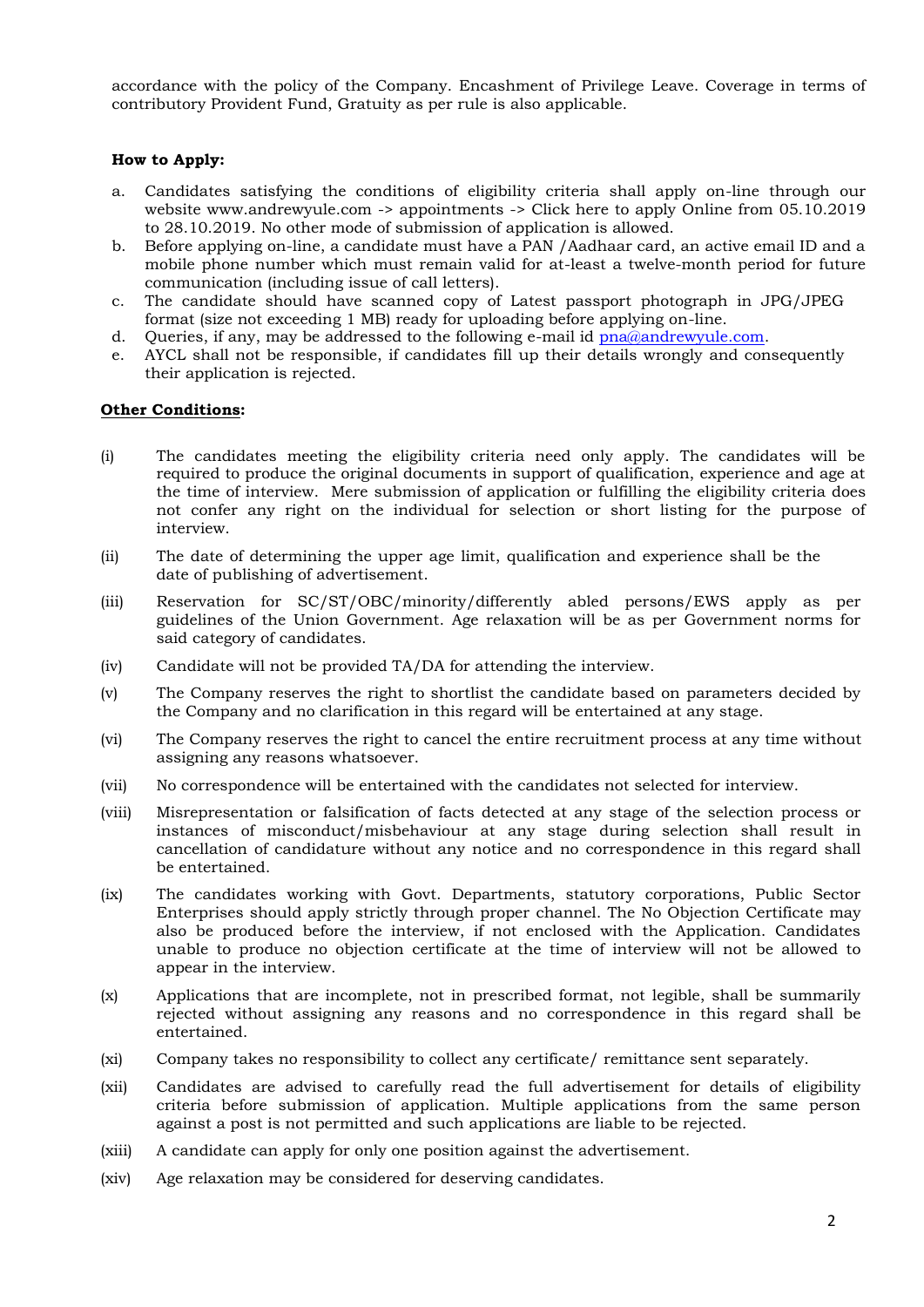accordance with the policy of the Company. Encashment of Privilege Leave. Coverage in terms of contributory Provident Fund, Gratuity as per rule is also applicable.

### **How to Apply:**

- a. Candidates satisfying the conditions of eligibility criteria shall apply on-line through our website www.andrewyule.com -> appointments -> Click here to apply Online from 05.10.2019 to 28.10.2019. No other mode of submission of application is allowed.
- b. Before applying on-line, a candidate must have a PAN /Aadhaar card, an active email ID and a mobile phone number which must remain valid for at-least a twelve-month period for future communication (including issue of call letters).
- c. The candidate should have scanned copy of Latest passport photograph in JPG/JPEG format (size not exceeding 1 MB) ready for uploading before applying on-line.
- d. Queries, if any, may be addressed to the following e-mail id [pna@andrewyule.com.](mailto:pna@andrewyule.com)
- e. AYCL shall not be responsible, if candidates fill up their details wrongly and consequently their application is rejected.

#### **Other Conditions:**

- (i) The candidates meeting the eligibility criteria need only apply. The candidates will be required to produce the original documents in support of qualification, experience and age at the time of interview. Mere submission of application or fulfilling the eligibility criteria does not confer any right on the individual for selection or short listing for the purpose of interview.
- (ii) The date of determining the upper age limit, qualification and experience shall be the date of publishing of advertisement.
- (iii) Reservation for SC/ST/OBC/minority/differently abled persons/EWS apply as per guidelines of the Union Government. Age relaxation will be as per Government norms for said category of candidates.
- (iv) Candidate will not be provided TA/DA for attending the interview.
- (v) The Company reserves the right to shortlist the candidate based on parameters decided by the Company and no clarification in this regard will be entertained at any stage.
- (vi) The Company reserves the right to cancel the entire recruitment process at any time without assigning any reasons whatsoever.
- (vii) No correspondence will be entertained with the candidates not selected for interview.
- (viii) Misrepresentation or falsification of facts detected at any stage of the selection process or instances of misconduct/misbehaviour at any stage during selection shall result in cancellation of candidature without any notice and no correspondence in this regard shall be entertained.
- (ix) The candidates working with Govt. Departments, statutory corporations, Public Sector Enterprises should apply strictly through proper channel. The No Objection Certificate may also be produced before the interview, if not enclosed with the Application. Candidates unable to produce no objection certificate at the time of interview will not be allowed to appear in the interview.
- (x) Applications that are incomplete, not in prescribed format, not legible, shall be summarily rejected without assigning any reasons and no correspondence in this regard shall be entertained.
- (xi) Company takes no responsibility to collect any certificate/ remittance sent separately.
- (xii) Candidates are advised to carefully read the full advertisement for details of eligibility criteria before submission of application. Multiple applications from the same person against a post is not permitted and such applications are liable to be rejected.
- (xiii) A candidate can apply for only one position against the advertisement.
- (xiv) Age relaxation may be considered for deserving candidates.